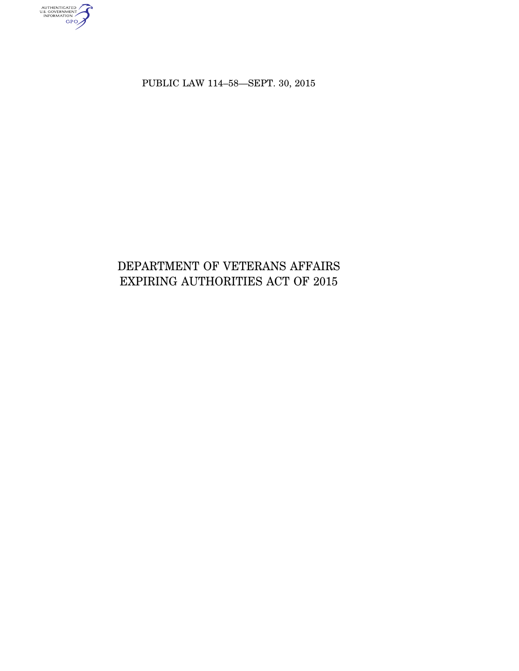AUTHENTICATED<br>U.S. GOVERNMENT<br>INFORMATION<br>GPO

PUBLIC LAW 114–58—SEPT. 30, 2015

# DEPARTMENT OF VETERANS AFFAIRS EXPIRING AUTHORITIES ACT OF 2015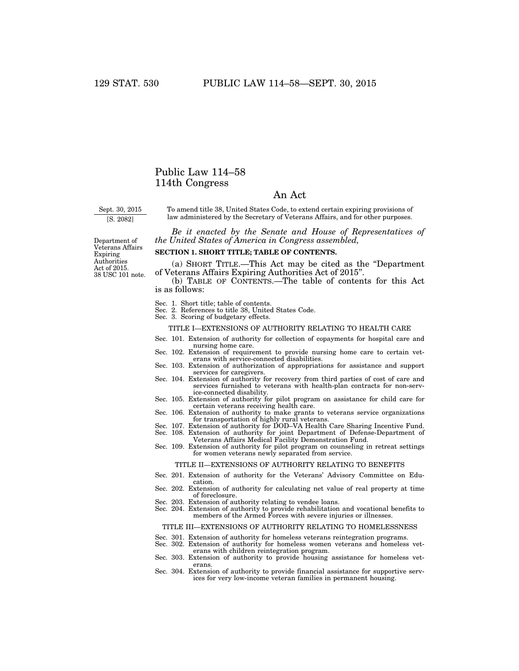### Public Law 114–58 114th Congress

#### An Act

Sept. 30, 2015

[S. 2082]

To amend title 38, United States Code, to extend certain expiring provisions of law administered by the Secretary of Veterans Affairs, and for other purposes.

*Be it enacted by the Senate and House of Representatives of the United States of America in Congress assembled,* 

Department of Veterans Affairs Expiring Authorities Act of 2015. 38 USC 101 note.

#### **SECTION 1. SHORT TITLE; TABLE OF CONTENTS.**

(a) SHORT TITLE.—This Act may be cited as the ''Department of Veterans Affairs Expiring Authorities Act of 2015''.

(b) TABLE OF CONTENTS.—The table of contents for this Act is as follows:

- Sec. 1. Short title; table of contents.
- Sec. 2. References to title 38, United States Code. Sec. 3. Scoring of budgetary effects.
- 

#### TITLE I—EXTENSIONS OF AUTHORITY RELATING TO HEALTH CARE

- Sec. 101. Extension of authority for collection of copayments for hospital care and nursing home care.
- Sec. 102. Extension of requirement to provide nursing home care to certain veterans with service-connected disabilities.
- Sec. 103. Extension of authorization of appropriations for assistance and support services for caregivers.
- Sec. 104. Extension of authority for recovery from third parties of cost of care and services furnished to veterans with health-plan contracts for non-service-connected disability.
- Sec. 105. Extension of authority for pilot program on assistance for child care for certain veterans receiving health care.
- Sec. 106. Extension of authority to make grants to veterans service organizations for transportation of highly rural veterans. Sec. 107. Extension of authority for DOD–VA Health Care Sharing Incentive Fund.
- Sec. 108. Extension of authority for joint Department of Defense-Department of
- Veterans Affairs Medical Facility Demonstration Fund.
- Sec. 109. Extension of authority for pilot program on counseling in retreat settings for women veterans newly separated from service.

#### TITLE II—EXTENSIONS OF AUTHORITY RELATING TO BENEFITS

- Sec. 201. Extension of authority for the Veterans' Advisory Committee on Education.
- Sec. 202. Extension of authority for calculating net value of real property at time of foreclosure.
- Sec. 203. Extension of authority relating to vendee loans.
- Sec. 204. Extension of authority to provide rehabilitation and vocational benefits to members of the Armed Forces with severe injuries or illnesses.

#### TITLE III—EXTENSIONS OF AUTHORITY RELATING TO HOMELESSNESS

- Sec. 301. Extension of authority for homeless veterans reintegration programs.
- Sec. 302. Extension of authority for homeless women veterans and homeless veterans with children reintegration program.
- Sec. 303. Extension of authority to provide housing assistance for homeless veterans.
- Sec. 304. Extension of authority to provide financial assistance for supportive services for very low-income veteran families in permanent housing.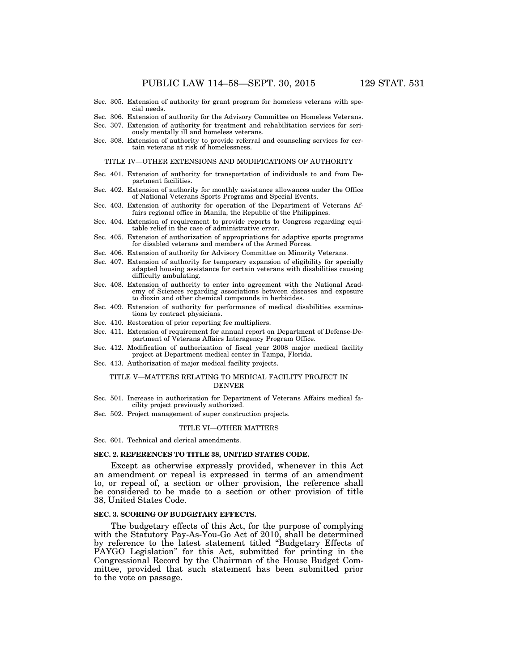- Sec. 305. Extension of authority for grant program for homeless veterans with special needs.
- Sec. 306. Extension of authority for the Advisory Committee on Homeless Veterans.
- Sec. 307. Extension of authority for treatment and rehabilitation services for seriously mentally ill and homeless veterans.
- Sec. 308. Extension of authority to provide referral and counseling services for certain veterans at risk of homelessness.

TITLE IV—OTHER EXTENSIONS AND MODIFICATIONS OF AUTHORITY

- Sec. 401. Extension of authority for transportation of individuals to and from Department facilities.
- Sec. 402. Extension of authority for monthly assistance allowances under the Office of National Veterans Sports Programs and Special Events.
- Sec. 403. Extension of authority for operation of the Department of Veterans Affairs regional office in Manila, the Republic of the Philippines.
- Sec. 404. Extension of requirement to provide reports to Congress regarding equitable relief in the case of administrative error.
- Sec. 405. Extension of authorization of appropriations for adaptive sports programs for disabled veterans and members of the Armed Forces.
- Sec. 406. Extension of authority for Advisory Committee on Minority Veterans.
- Sec. 407. Extension of authority for temporary expansion of eligibility for specially adapted housing assistance for certain veterans with disabilities causing difficulty ambulating.
- Sec. 408. Extension of authority to enter into agreement with the National Academy of Sciences regarding associations between diseases and exposure to dioxin and other chemical compounds in herbicides.
- Sec. 409. Extension of authority for performance of medical disabilities examinations by contract physicians.
- Sec. 410. Restoration of prior reporting fee multipliers.
- Sec. 411. Extension of requirement for annual report on Department of Defense-Department of Veterans Affairs Interagency Program Office.
- Sec. 412. Modification of authorization of fiscal year 2008 major medical facility project at Department medical center in Tampa, Florida.
- Sec. 413. Authorization of major medical facility projects.

#### TITLE V—MATTERS RELATING TO MEDICAL FACILITY PROJECT IN DENVER

- Sec. 501. Increase in authorization for Department of Veterans Affairs medical facility project previously authorized.
- Sec. 502. Project management of super construction projects.

#### TITLE VI—OTHER MATTERS

Sec. 601. Technical and clerical amendments.

#### **SEC. 2. REFERENCES TO TITLE 38, UNITED STATES CODE.**

Except as otherwise expressly provided, whenever in this Act an amendment or repeal is expressed in terms of an amendment to, or repeal of, a section or other provision, the reference shall be considered to be made to a section or other provision of title 38, United States Code.

#### **SEC. 3. SCORING OF BUDGETARY EFFECTS.**

The budgetary effects of this Act, for the purpose of complying with the Statutory Pay-As-You-Go Act of 2010, shall be determined by reference to the latest statement titled ''Budgetary Effects of PAYGO Legislation'' for this Act, submitted for printing in the Congressional Record by the Chairman of the House Budget Committee, provided that such statement has been submitted prior to the vote on passage.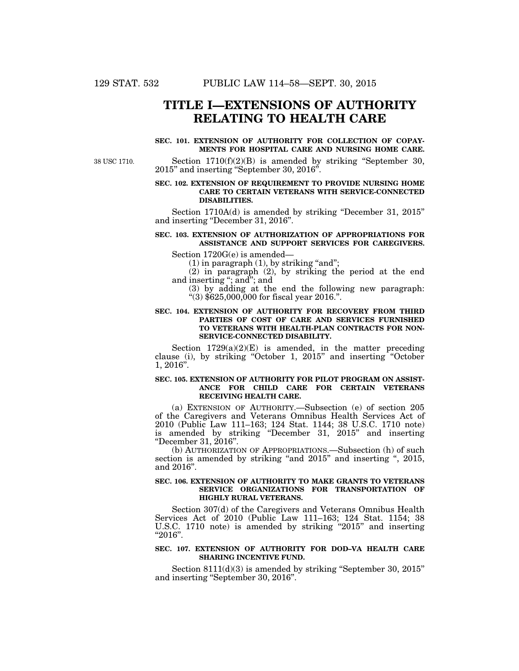### **TITLE I—EXTENSIONS OF AUTHORITY RELATING TO HEALTH CARE**

#### **SEC. 101. EXTENSION OF AUTHORITY FOR COLLECTION OF COPAY-MENTS FOR HOSPITAL CARE AND NURSING HOME CARE.**

38 USC 1710.

Section  $1710(f)(2)(B)$  is amended by striking "September 30, 2015'' and inserting ''September 30, 2016''.

#### **SEC. 102. EXTENSION OF REQUIREMENT TO PROVIDE NURSING HOME CARE TO CERTAIN VETERANS WITH SERVICE-CONNECTED DISABILITIES.**

Section 1710A(d) is amended by striking "December 31, 2015" and inserting ''December 31, 2016''.

#### **SEC. 103. EXTENSION OF AUTHORIZATION OF APPROPRIATIONS FOR ASSISTANCE AND SUPPORT SERVICES FOR CAREGIVERS.**

Section 1720G(e) is amended—

 $(1)$  in paragraph  $(1)$ , by striking "and";

(2) in paragraph (2), by striking the period at the end and inserting ''; and''; and

(3) by adding at the end the following new paragraph:  $(3)$  \$625,000,000 for fiscal year 2016.".

#### **SEC. 104. EXTENSION OF AUTHORITY FOR RECOVERY FROM THIRD PARTIES OF COST OF CARE AND SERVICES FURNISHED TO VETERANS WITH HEALTH-PLAN CONTRACTS FOR NON-SERVICE-CONNECTED DISABILITY.**

Section  $1729(a)(2)(E)$  is amended, in the matter preceding clause (i), by striking ''October 1, 2015'' and inserting ''October 1, 2016''.

#### **SEC. 105. EXTENSION OF AUTHORITY FOR PILOT PROGRAM ON ASSIST-ANCE FOR CHILD CARE FOR CERTAIN VETERANS RECEIVING HEALTH CARE.**

(a) EXTENSION OF AUTHORITY.—Subsection (e) of section 205 of the Caregivers and Veterans Omnibus Health Services Act of 2010 (Public Law 111–163; 124 Stat. 1144; 38 U.S.C. 1710 note) is amended by striking ''December 31, 2015'' and inserting ''December 31, 2016''.

(b) AUTHORIZATION OF APPROPRIATIONS.—Subsection (h) of such section is amended by striking "and 2015" and inserting ", 2015, and 2016''.

#### **SEC. 106. EXTENSION OF AUTHORITY TO MAKE GRANTS TO VETERANS SERVICE ORGANIZATIONS FOR TRANSPORTATION OF HIGHLY RURAL VETERANS.**

Section 307(d) of the Caregivers and Veterans Omnibus Health Services Act of 2010 (Public Law 111–163; 124 Stat. 1154; 38 U.S.C. 1710 note) is amended by striking "2015" and inserting ''2016''.

#### **SEC. 107. EXTENSION OF AUTHORITY FOR DOD–VA HEALTH CARE SHARING INCENTIVE FUND.**

Section 8111(d)(3) is amended by striking "September 30, 2015" and inserting ''September 30, 2016''.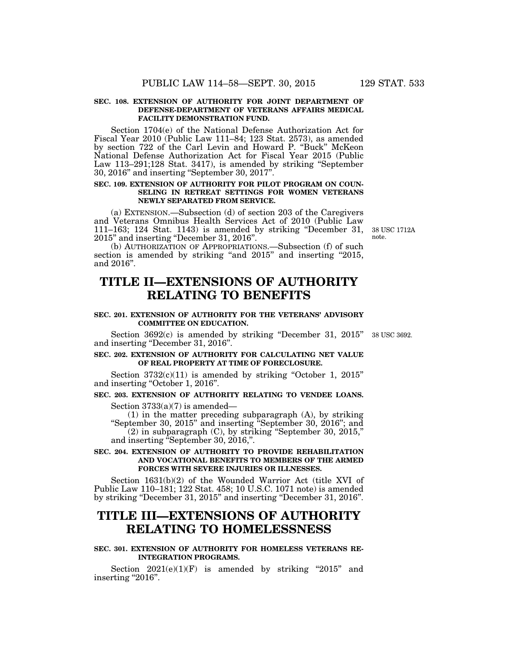#### **SEC. 108. EXTENSION OF AUTHORITY FOR JOINT DEPARTMENT OF DEFENSE-DEPARTMENT OF VETERANS AFFAIRS MEDICAL FACILITY DEMONSTRATION FUND.**

Section 1704(e) of the National Defense Authorization Act for Fiscal Year 2010 (Public Law 111–84; 123 Stat. 2573), as amended by section 722 of the Carl Levin and Howard P. ''Buck'' McKeon National Defense Authorization Act for Fiscal Year 2015 (Public Law 113–291;128 Stat. 3417), is amended by striking ''September 30, 2016'' and inserting ''September 30, 2017''.

#### **SEC. 109. EXTENSION OF AUTHORITY FOR PILOT PROGRAM ON COUN-SELING IN RETREAT SETTINGS FOR WOMEN VETERANS NEWLY SEPARATED FROM SERVICE.**

(a) EXTENSION.—Subsection (d) of section 203 of the Caregivers and Veterans Omnibus Health Services Act of 2010 (Public Law 111–163; 124 Stat. 1143) is amended by striking ''December 31, 2015'' and inserting ''December 31, 2016''.

(b) AUTHORIZATION OF APPROPRIATIONS.—Subsection (f) of such section is amended by striking "and 2015" and inserting "2015, and 2016''.

## **TITLE II—EXTENSIONS OF AUTHORITY RELATING TO BENEFITS**

#### **SEC. 201. EXTENSION OF AUTHORITY FOR THE VETERANS' ADVISORY COMMITTEE ON EDUCATION.**

Section 3692(c) is amended by striking "December 31, 2015" 38 USC 3692. and inserting ''December 31, 2016''.

#### **SEC. 202. EXTENSION OF AUTHORITY FOR CALCULATING NET VALUE OF REAL PROPERTY AT TIME OF FORECLOSURE.**

Section  $3732(c)(11)$  is amended by striking "October 1,  $2015$ " and inserting ''October 1, 2016''.

### **SEC. 203. EXTENSION OF AUTHORITY RELATING TO VENDEE LOANS.**

Section  $3733(a)(7)$  is amended—

(1) in the matter preceding subparagraph (A), by striking ''September 30, 2015'' and inserting ''September 30, 2016''; and (2) in subparagraph (C), by striking ''September 30, 2015,'' and inserting ''September 30, 2016,''.

#### **SEC. 204. EXTENSION OF AUTHORITY TO PROVIDE REHABILITATION AND VOCATIONAL BENEFITS TO MEMBERS OF THE ARMED FORCES WITH SEVERE INJURIES OR ILLNESSES.**

Section 1631(b)(2) of the Wounded Warrior Act (title XVI of Public Law 110–181; 122 Stat. 458; 10 U.S.C. 1071 note) is amended by striking ''December 31, 2015'' and inserting ''December 31, 2016''.

### **TITLE III—EXTENSIONS OF AUTHORITY RELATING TO HOMELESSNESS**

#### **SEC. 301. EXTENSION OF AUTHORITY FOR HOMELESS VETERANS RE-INTEGRATION PROGRAMS.**

Section  $2021(e)(1)(F)$  is amended by striking "2015" and inserting "2016".

38 USC 1712A note.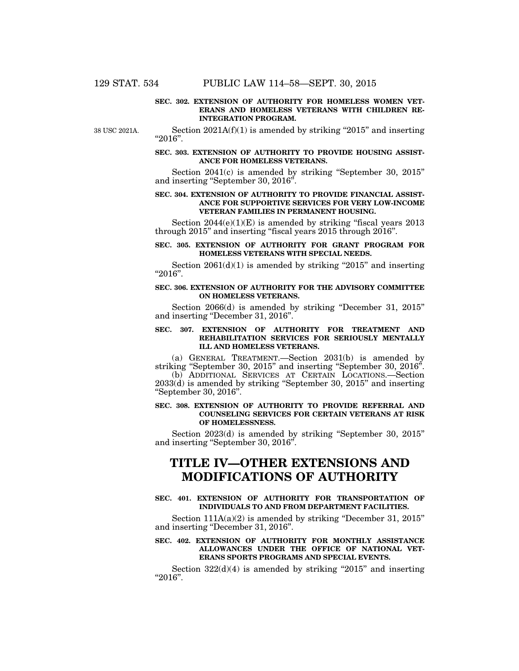#### **SEC. 302. EXTENSION OF AUTHORITY FOR HOMELESS WOMEN VET-ERANS AND HOMELESS VETERANS WITH CHILDREN RE-INTEGRATION PROGRAM.**

38 USC 2021A.

Section  $2021A(f)(1)$  is amended by striking "2015" and inserting ''2016''.

#### **SEC. 303. EXTENSION OF AUTHORITY TO PROVIDE HOUSING ASSIST-ANCE FOR HOMELESS VETERANS.**

Section 2041(c) is amended by striking ''September 30, 2015'' and inserting ''September 30, 2016''.

#### **SEC. 304. EXTENSION OF AUTHORITY TO PROVIDE FINANCIAL ASSIST-ANCE FOR SUPPORTIVE SERVICES FOR VERY LOW-INCOME VETERAN FAMILIES IN PERMANENT HOUSING.**

Section  $2044(e)(1)(E)$  is amended by striking "fiscal years  $2013$ through 2015'' and inserting ''fiscal years 2015 through 2016''.

#### **SEC. 305. EXTENSION OF AUTHORITY FOR GRANT PROGRAM FOR HOMELESS VETERANS WITH SPECIAL NEEDS.**

Section  $2061(d)(1)$  is amended by striking "2015" and inserting ''2016''.

#### **SEC. 306. EXTENSION OF AUTHORITY FOR THE ADVISORY COMMITTEE ON HOMELESS VETERANS.**

Section 2066(d) is amended by striking "December 31, 2015" and inserting ''December 31, 2016''.

#### **SEC. 307. EXTENSION OF AUTHORITY FOR TREATMENT AND REHABILITATION SERVICES FOR SERIOUSLY MENTALLY ILL AND HOMELESS VETERANS.**

(a) GENERAL TREATMENT.—Section 2031(b) is amended by striking "September 30, 2015" and inserting "September 30, 2016". (b) ADDITIONAL SERVICES AT CERTAIN LOCATIONS.—Section 2033(d) is amended by striking ''September 30, 2015'' and inserting ''September 30, 2016''.

#### **SEC. 308. EXTENSION OF AUTHORITY TO PROVIDE REFERRAL AND COUNSELING SERVICES FOR CERTAIN VETERANS AT RISK OF HOMELESSNESS.**

Section 2023(d) is amended by striking ''September 30, 2015'' and inserting ''September 30, 2016''.

## **TITLE IV—OTHER EXTENSIONS AND MODIFICATIONS OF AUTHORITY**

#### **SEC. 401. EXTENSION OF AUTHORITY FOR TRANSPORTATION OF INDIVIDUALS TO AND FROM DEPARTMENT FACILITIES.**

Section 111A(a)(2) is amended by striking "December 31, 2015" and inserting ''December 31, 2016''.

#### **SEC. 402. EXTENSION OF AUTHORITY FOR MONTHLY ASSISTANCE ALLOWANCES UNDER THE OFFICE OF NATIONAL VET-ERANS SPORTS PROGRAMS AND SPECIAL EVENTS.**

Section  $322(d)(4)$  is amended by striking "2015" and inserting ''2016''.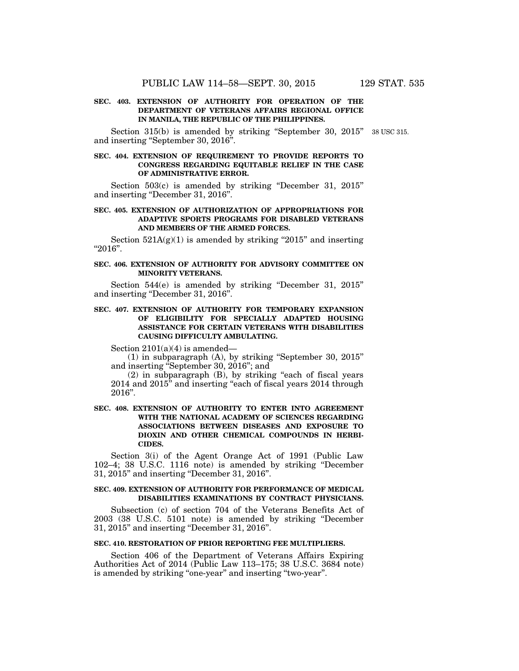#### **SEC. 403. EXTENSION OF AUTHORITY FOR OPERATION OF THE DEPARTMENT OF VETERANS AFFAIRS REGIONAL OFFICE IN MANILA, THE REPUBLIC OF THE PHILIPPINES.**

Section 315(b) is amended by striking "September 30, 2015" 38 USC 315. and inserting ''September 30, 2016''.

#### **SEC. 404. EXTENSION OF REQUIREMENT TO PROVIDE REPORTS TO CONGRESS REGARDING EQUITABLE RELIEF IN THE CASE OF ADMINISTRATIVE ERROR.**

Section 503(c) is amended by striking "December 31, 2015" and inserting ''December 31, 2016''.

#### **SEC. 405. EXTENSION OF AUTHORIZATION OF APPROPRIATIONS FOR ADAPTIVE SPORTS PROGRAMS FOR DISABLED VETERANS AND MEMBERS OF THE ARMED FORCES.**

Section  $521A(g)(1)$  is amended by striking "2015" and inserting ''2016''.

#### **SEC. 406. EXTENSION OF AUTHORITY FOR ADVISORY COMMITTEE ON MINORITY VETERANS.**

Section 544(e) is amended by striking "December 31, 2015" and inserting ''December 31, 2016''.

#### **SEC. 407. EXTENSION OF AUTHORITY FOR TEMPORARY EXPANSION OF ELIGIBILITY FOR SPECIALLY ADAPTED HOUSING ASSISTANCE FOR CERTAIN VETERANS WITH DISABILITIES CAUSING DIFFICULTY AMBULATING.**

Section  $2101(a)(4)$  is amended—

(1) in subparagraph (A), by striking ''September 30, 2015'' and inserting ''September 30, 2016''; and

 $(2)$  in subparagraph  $(B)$ , by striking "each of fiscal years"  $2014$  and  $2015$ <sup>"</sup> and inserting "each of fiscal years  $2014$  through 2016''.

#### **SEC. 408. EXTENSION OF AUTHORITY TO ENTER INTO AGREEMENT WITH THE NATIONAL ACADEMY OF SCIENCES REGARDING ASSOCIATIONS BETWEEN DISEASES AND EXPOSURE TO DIOXIN AND OTHER CHEMICAL COMPOUNDS IN HERBI-CIDES.**

Section 3(i) of the Agent Orange Act of 1991 (Public Law 102–4; 38 U.S.C. 1116 note) is amended by striking ''December 31, 2015'' and inserting ''December 31, 2016''.

#### **SEC. 409. EXTENSION OF AUTHORITY FOR PERFORMANCE OF MEDICAL DISABILITIES EXAMINATIONS BY CONTRACT PHYSICIANS.**

Subsection (c) of section 704 of the Veterans Benefits Act of 2003 (38 U.S.C. 5101 note) is amended by striking ''December 31, 2015'' and inserting ''December 31, 2016''.

#### **SEC. 410. RESTORATION OF PRIOR REPORTING FEE MULTIPLIERS.**

Section 406 of the Department of Veterans Affairs Expiring Authorities Act of 2014 (Public Law 113–175; 38 U.S.C. 3684 note) is amended by striking "one-year" and inserting "two-year".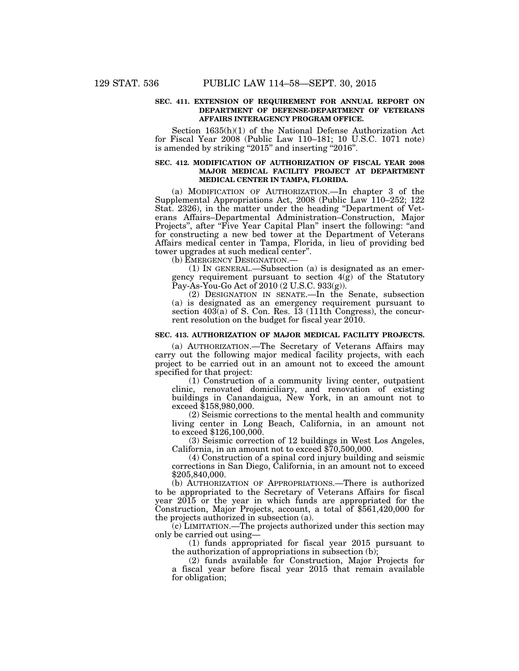#### **SEC. 411. EXTENSION OF REQUIREMENT FOR ANNUAL REPORT ON DEPARTMENT OF DEFENSE-DEPARTMENT OF VETERANS AFFAIRS INTERAGENCY PROGRAM OFFICE.**

Section 1635(h)(1) of the National Defense Authorization Act for Fiscal Year 2008 (Public Law 110–181; 10 U.S.C. 1071 note) is amended by striking "2015" and inserting "2016".

#### **SEC. 412. MODIFICATION OF AUTHORIZATION OF FISCAL YEAR 2008 MAJOR MEDICAL FACILITY PROJECT AT DEPARTMENT MEDICAL CENTER IN TAMPA, FLORIDA.**

(a) MODIFICATION OF AUTHORIZATION.—In chapter 3 of the Supplemental Appropriations Act, 2008 (Public Law 110–252; 122 Stat. 2326), in the matter under the heading ''Department of Veterans Affairs–Departmental Administration–Construction, Major Projects", after "Five Year Capital Plan" insert the following: "and for constructing a new bed tower at the Department of Veterans Affairs medical center in Tampa, Florida, in lieu of providing bed tower upgrades at such medical center''.

(b) EMERGENCY DESIGNATION.—

(1) IN GENERAL.—Subsection (a) is designated as an emergency requirement pursuant to section 4(g) of the Statutory Pay-As-You-Go Act of 2010 (2 U.S.C. 933(g)).

(2) DESIGNATION IN SENATE.—In the Senate, subsection (a) is designated as an emergency requirement pursuant to section  $403(a)$  of S. Con. Res. 13 (111th Congress), the concurrent resolution on the budget for fiscal year 2010.

#### **SEC. 413. AUTHORIZATION OF MAJOR MEDICAL FACILITY PROJECTS.**

(a) AUTHORIZATION.—The Secretary of Veterans Affairs may carry out the following major medical facility projects, with each project to be carried out in an amount not to exceed the amount specified for that project:

(1) Construction of a community living center, outpatient clinic, renovated domiciliary, and renovation of existing buildings in Canandaigua, New York, in an amount not to exceed \$158,980,000.

(2) Seismic corrections to the mental health and community living center in Long Beach, California, in an amount not to exceed \$126,100,000.

(3) Seismic correction of 12 buildings in West Los Angeles, California, in an amount not to exceed \$70,500,000.

(4) Construction of a spinal cord injury building and seismic corrections in San Diego, California, in an amount not to exceed \$205,840,000.

(b) AUTHORIZATION OF APPROPRIATIONS.—There is authorized to be appropriated to the Secretary of Veterans Affairs for fiscal year 2015 or the year in which funds are appropriated for the Construction, Major Projects, account, a total of \$561,420,000 for the projects authorized in subsection (a).

(c) LIMITATION.—The projects authorized under this section may only be carried out using—

(1) funds appropriated for fiscal year 2015 pursuant to the authorization of appropriations in subsection (b);

(2) funds available for Construction, Major Projects for a fiscal year before fiscal year 2015 that remain available for obligation;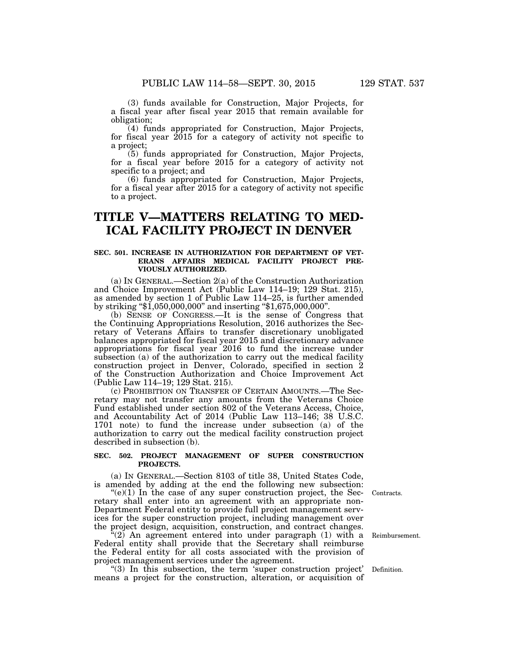(3) funds available for Construction, Major Projects, for a fiscal year after fiscal year 2015 that remain available for obligation;

(4) funds appropriated for Construction, Major Projects, for fiscal year  $2015$  for a category of activity not specific to a project;

(5) funds appropriated for Construction, Major Projects, for a fiscal year before 2015 for a category of activity not specific to a project; and

(6) funds appropriated for Construction, Major Projects, for a fiscal year after 2015 for a category of activity not specific to a project.

### **TITLE V—MATTERS RELATING TO MED-ICAL FACILITY PROJECT IN DENVER**

#### **SEC. 501. INCREASE IN AUTHORIZATION FOR DEPARTMENT OF VET-ERANS AFFAIRS MEDICAL FACILITY PROJECT PRE-VIOUSLY AUTHORIZED.**

(a) IN GENERAL.—Section 2(a) of the Construction Authorization and Choice Improvement Act (Public Law 114–19; 129 Stat. 215), as amended by section 1 of Public Law 114–25, is further amended by striking ''\$1,050,000,000'' and inserting ''\$1,675,000,000''.

(b) SENSE OF CONGRESS.—It is the sense of Congress that the Continuing Appropriations Resolution, 2016 authorizes the Secretary of Veterans Affairs to transfer discretionary unobligated balances appropriated for fiscal year 2015 and discretionary advance appropriations for fiscal year 2016 to fund the increase under subsection (a) of the authorization to carry out the medical facility construction project in Denver, Colorado, specified in section 2 of the Construction Authorization and Choice Improvement Act (Public Law 114–19; 129 Stat. 215).

(c) PROHIBITION ON TRANSFER OF CERTAIN AMOUNTS.—The Secretary may not transfer any amounts from the Veterans Choice Fund established under section 802 of the Veterans Access, Choice, and Accountability Act of 2014 (Public Law 113–146; 38 U.S.C. 1701 note) to fund the increase under subsection (a) of the authorization to carry out the medical facility construction project described in subsection (b).

#### **SEC. 502. PROJECT MANAGEMENT OF SUPER CONSTRUCTION PROJECTS.**

(a) IN GENERAL.—Section 8103 of title 38, United States Code, is amended by adding at the end the following new subsection:

 $(e)(1)$  In the case of any super construction project, the Secretary shall enter into an agreement with an appropriate non-Department Federal entity to provide full project management services for the super construction project, including management over the project design, acquisition, construction, and contract changes.

 $i(2)$  An agreement entered into under paragraph (1) with a Federal entity shall provide that the Secretary shall reimburse the Federal entity for all costs associated with the provision of project management services under the agreement.

''(3) In this subsection, the term 'super construction project' means a project for the construction, alteration, or acquisition of

Contracts.

Reimbursement.

Definition.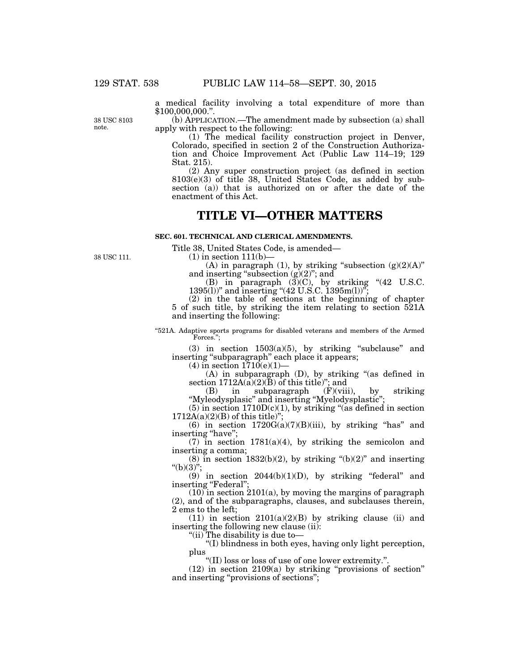a medical facility involving a total expenditure of more than \$100,000,000.''.

38 USC 8103 note.

(b) APPLICATION.—The amendment made by subsection (a) shall apply with respect to the following:

(1) The medical facility construction project in Denver, Colorado, specified in section 2 of the Construction Authorization and Choice Improvement Act (Public Law 114–19; 129 Stat. 215).

(2) Any super construction project (as defined in section 8103(e)(3) of title 38, United States Code, as added by subsection (a)) that is authorized on or after the date of the enactment of this Act.

### **TITLE VI—OTHER MATTERS**

**SEC. 601. TECHNICAL AND CLERICAL AMENDMENTS.** 

Title 38, United States Code, is amended—

38 USC 111.

 $(1)$  in section 111(b)–

(A) in paragraph (1), by striking "subsection  $(g)(2)(A)$ " and inserting "subsection  $(g)(2)$ "; and

(B) in paragraph  $(3)(C)$ , by striking " $(42 \text{ U.S.C.})$ 1395(l))" and inserting " $(42 \text{ U.S.C. } 1395 \text{m(l)})$ ";

(2) in the table of sections at the beginning of chapter 5 of such title, by striking the item relating to section 521A and inserting the following:

''521A. Adaptive sports programs for disabled veterans and members of the Armed Forces.'';

(3) in section  $1503(a)(5)$ , by striking "subclause" and inserting ''subparagraph'' each place it appears;

 $(4)$  in section  $1710(e)(1)$ 

(A) in subparagraph (D), by striking ''(as defined in section  $1712A(a)(2)(\bar{B})$  of this title)"; and

(B) in subparagraph (F)(viii), by striking ''Myleodysplasic'' and inserting ''Myelodysplastic'';

 $(5)$  in section  $1710D(c)(1)$ , by striking "(as defined in section  $1712A(a)(2)(B)$  of this title)";

(6) in section  $1720G(a)(7)(B)(iii)$ , by striking "has" and inserting "have";

(7) in section  $1781(a)(4)$ , by striking the semicolon and inserting a comma;

 $(8)$  in section 1832(b)(2), by striking " $(b)(2)$ " and inserting " $(b)(3)$ ":

 $(9)$  in section 2044(b)(1)(D), by striking "federal" and inserting "Federal";

 $(10)$  in section 2101(a), by moving the margins of paragraph (2), and of the subparagraphs, clauses, and subclauses therein, 2 ems to the left;

 $(11)$  in section  $2101(a)(2)(B)$  by striking clause (ii) and inserting the following new clause (ii):

"(ii) The disability is due to-

''(I) blindness in both eyes, having only light perception, plus

''(II) loss or loss of use of one lower extremity.''.

 $(12)$  in section  $2109(a)$  by striking "provisions of section" and inserting ''provisions of sections'';